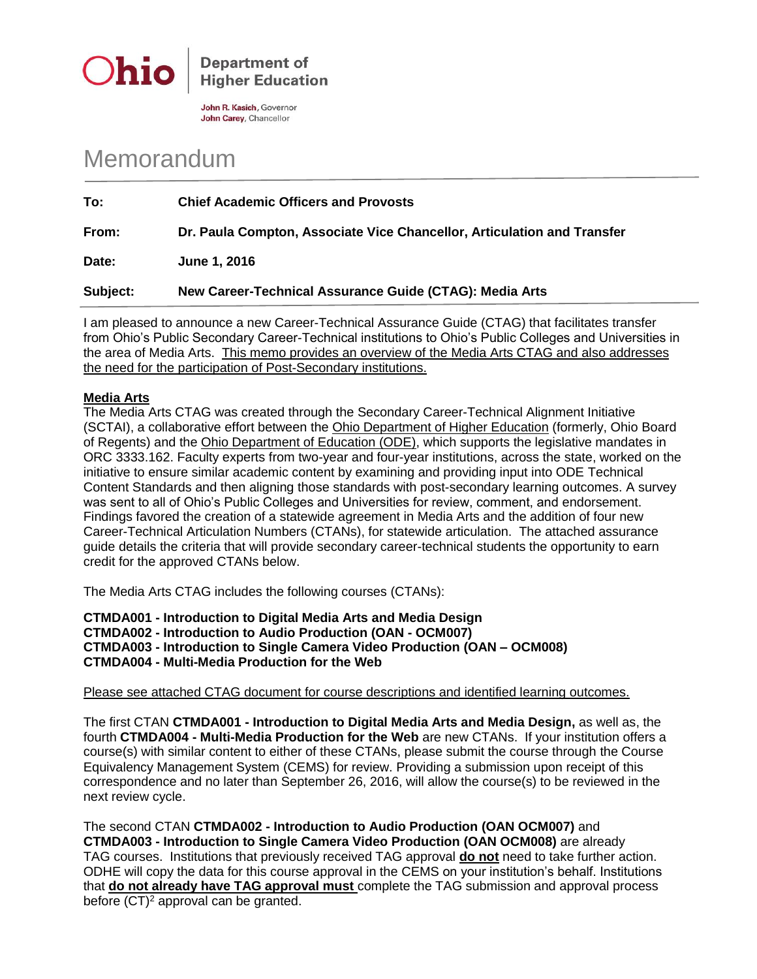

**Department of Higher Education** 

John R. Kasich, Governor John Carey, Chancellor

## Memorandum

| To:      | <b>Chief Academic Officers and Provosts</b>                             |
|----------|-------------------------------------------------------------------------|
| From:    | Dr. Paula Compton, Associate Vice Chancellor, Articulation and Transfer |
| Date:    | June 1, 2016                                                            |
| Subject: | New Career-Technical Assurance Guide (CTAG): Media Arts                 |

I am pleased to announce a new Career-Technical Assurance Guide (CTAG) that facilitates transfer from Ohio's Public Secondary Career-Technical institutions to Ohio's Public Colleges and Universities in the area of Media Arts. This memo provides an overview of the Media Arts CTAG and also addresses the need for the participation of Post-Secondary institutions.

## **Media Arts**

The Media Arts CTAG was created through the Secondary Career-Technical Alignment Initiative (SCTAI), a collaborative effort between the Ohio Department of Higher Education (formerly, Ohio Board of Regents) and the Ohio Department of Education (ODE), which supports the legislative mandates in ORC 3333.162. Faculty experts from two-year and four-year institutions, across the state, worked on the initiative to ensure similar academic content by examining and providing input into ODE Technical Content Standards and then aligning those standards with post-secondary learning outcomes. A survey was sent to all of Ohio's Public Colleges and Universities for review, comment, and endorsement. Findings favored the creation of a statewide agreement in Media Arts and the addition of four new Career-Technical Articulation Numbers (CTANs), for statewide articulation. The attached assurance guide details the criteria that will provide secondary career-technical students the opportunity to earn credit for the approved CTANs below.

The Media Arts CTAG includes the following courses (CTANs):

**CTMDA001 - Introduction to Digital Media Arts and Media Design CTMDA002 - Introduction to Audio Production (OAN - OCM007) CTMDA003 - Introduction to Single Camera Video Production (OAN – OCM008) CTMDA004 - Multi-Media Production for the Web**

Please see attached CTAG document for course descriptions and identified learning outcomes.

The first CTAN **CTMDA001 - Introduction to Digital Media Arts and Media Design,** as well as, the fourth **CTMDA004 - Multi-Media Production for the Web** are new CTANs. If your institution offers a course(s) with similar content to either of these CTANs, please submit the course through the Course Equivalency Management System (CEMS) for review. Providing a submission upon receipt of this correspondence and no later than September 26, 2016, will allow the course(s) to be reviewed in the next review cycle.

The second CTAN **CTMDA002 - Introduction to Audio Production (OAN OCM007)** and **CTMDA003 - Introduction to Single Camera Video Production (OAN OCM008)** are already TAG courses. Institutions that previously received TAG approval **do not** need to take further action. ODHE will copy the data for this course approval in the CEMS on your institution's behalf. Institutions that **do not already have TAG approval must** complete the TAG submission and approval process before  $(CT)^2$  approval can be granted.